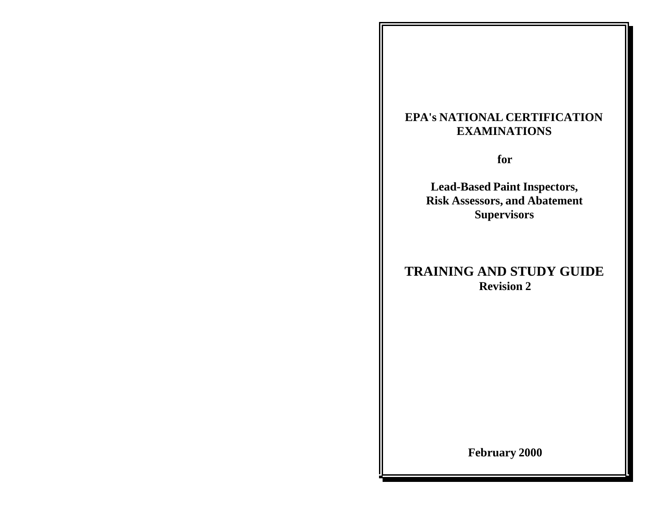# **EPA's NATIONAL CERTIFICATION EXAMINATIONS**

**for**

**Lead-Based Paint Inspectors, Risk Assessors, and Abatement Supervisors**

# **TRAINING AND STUDY GUIDE Revision 2**

**February 2000**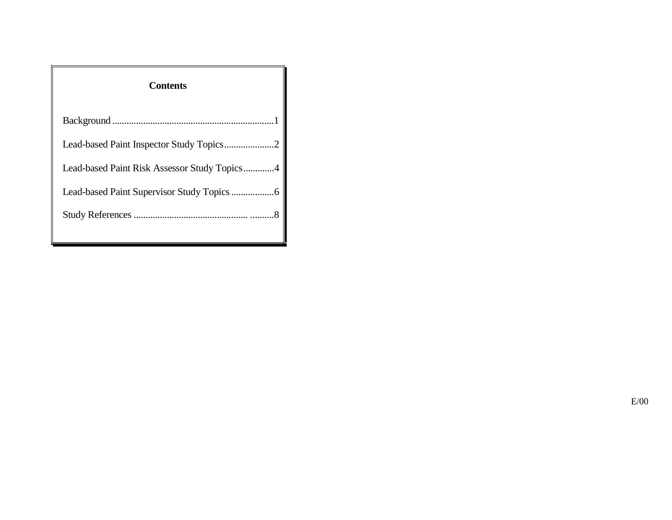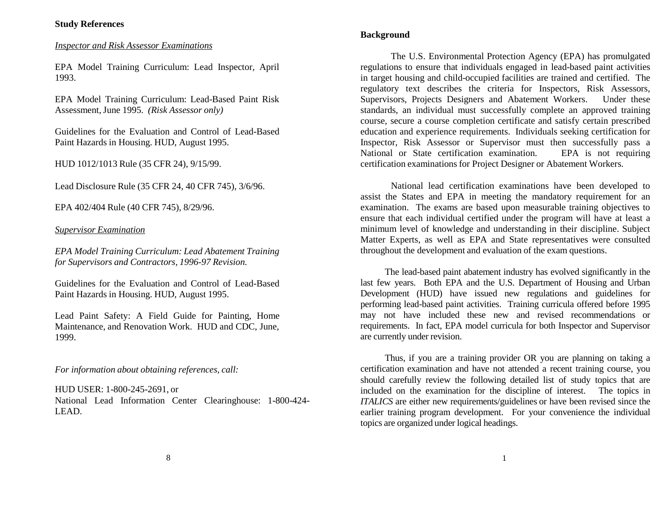# *Inspector and Risk Assessor Examinations*

EPA Model Training Curriculum: Lead Inspector, April 1993.

EPA Model Training Curriculum: Lead-Based Paint Risk Assessment,June 1995. *(Risk Assessor only)*

Guidelines for the Evaluation and Control of Lead-Based Paint Hazards in Housing. HUD, August 1995.

HUD 1012/1013 Rule (35 CFR 24), 9/15/99.

Lead Disclosure Rule (35 CFR 24, 40 CFR 745), 3/6/96.

EPA 402/404 Rule (40 CFR 745), 8/29/96.

*Supervisor Examination*

*EPA Model Training Curriculum: Lead Abatement Training for Supervisors and Contractors, 1996-97 Revision.*

Guidelines for the Evaluation and Control of Lead-Based Paint Hazards in Housing. HUD, August 1995.

Lead Paint Safety: A Field Guide for Painting, Home Maintenance, and Renovation Work. HUD and CDC, June, 1999.

*For information about obtaining references, call:*

HUD USER: 1-800-245-2691, or

National Lead Information Center Clearinghouse: 1-800-424- LEAD.

# **Background**

The U.S. Environmental Protection Agency (EPA) has promulgated regulations to ensure that individuals engaged in lead-based paint activities in target housing and child-occupied facilities are trained and certified. The regulatory text describes the criteria for Inspectors, Risk Assessors, Supervisors, Projects Designers and Abatement Workers. Under these standards, an individual must successfully complete an approved training course, secure a course completion certificate and satisfy certain prescribed education and experience requirements. Individuals seeking certification for Inspector, Risk Assessor or Supervisor must then successfully pass a National or State certification examination. EPA is not requiring certification examinations for Project Designer or Abatement Workers.

National lead certification examinations have been developed to assist the States and EPA in meeting the mandatory requirement for an examination. The exams are based upon measurable training objectives to ensure that each individual certified under the program will have at least a minimum level of knowledge and understanding in their discipline. Subject Matter Experts, as well as EPA and State representatives were consulted throughout the development and evaluation of the exam questions.

The lead-based paint abatement industry has evolved significantly in the last few years. Both EPA and the U.S. Department of Housing and Urban Development (HUD) have issued new regulations and guidelines for performing lead-based paint activities. Training curricula offered before 1995 may not have included these new and revised recommendations or requirements. In fact, EPA model curricula for both Inspector and Supervisor are currently under revision.

Thus, if you are a training provider OR you are planning on taking a certification examination and have not attended a recent training course, you should carefully review the following detailed list of study topics that are included on the examination for the discipline of interest. The topics in *ITALICS* are either new requirements/guidelines or have been revised since the earlier training program development. For your convenience the individual topics are organized under logical headings.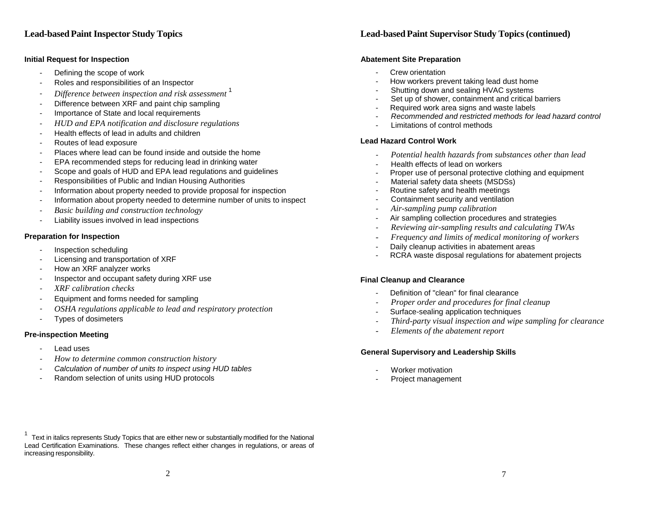#### **Initial Request for Inspection**

- Defining the scope of work
- Roles and responsibilities of an Inspector
- *Difference between inspection and risk assessment* <sup>1</sup>
- Difference between XRF and paint chip sampling
- Importance of State and local requirements
- *HUD and EPA notification and disclosure regulations*
- Health effects of lead in adults and children
- Routes of lead exposure
- Places where lead can be found inside and outside the home
- EPA recommended steps for reducing lead in drinking water
- Scope and goals of HUD and EPA lead regulations and guidelines
- Responsibilities of Public and Indian Housing Authorities
- Information about property needed to provide proposal for inspection
- Information about property needed to determine number of units to inspect
- *Basic building and construction technology*
- Liability issues involved in lead inspections

### **Preparation for Inspection**

- Inspection scheduling
- Licensing and transportation of XRF
- How an XRF analyzer works
- Inspector and occupant safety during XRF use
- *- XRF calibration checks*
- Equipment and forms needed for sampling
- *- OSHA regulations applicable to lead and respiratory protection*
- Types of dosimeters

# **Pre-inspection Meeting**

- Lead uses
- *- How to determine common construction history*
- *Calculation of number of units to inspect using HUD tables*
- Random selection of units using HUD protocols

# **Lead-basedPaint Inspector Study Topics Lead-basedPaint Supervisor Study Topics(continued)**

#### **Abatement Site Preparation**

- Crew orientation
- How workers prevent taking lead dust home
- Shutting down and sealing HVAC systems
- Set up of shower, containment and critical barriers
- Required work area signs and waste labels
- *Recommended and restricted methods for lead hazard control*
- Limitations of control methods

#### **Lead Hazard Control Work**

- *- Potential health hazards from substances other than lead*
- Health effects of lead on workers
- Proper use of personal protective clothing and equipment
- Material safety data sheets (MSDSs)
- Routine safety and health meetings
- Containment security and ventilation
- *- Air-sampling pump calibration*
- Air sampling collection procedures and strategies
- *- Reviewing air-sampling results and calculating TWAs*
- *- Frequency and limits of medical monitoring of workers*
- Daily cleanup activities in abatement areas
- RCRA waste disposal regulations for abatement projects

# **Final Cleanup and Clearance**

- Definition of "clean" for final clearance
- *- Proper order and procedures for final cleanup*
- Surface-sealing application techniques
- *- Third-party visual inspection and wipe sampling for clearance*
- *- Elements of the abatement report*

# **General Supervisory and Leadership Skills**

- Worker motivation
- Project management

 $1$  Text in italics represents Study Topics that are either new or substantially modified for the National Lead Certification Examinations. These changes reflect either changes in regulations, or areas of increasing responsibility.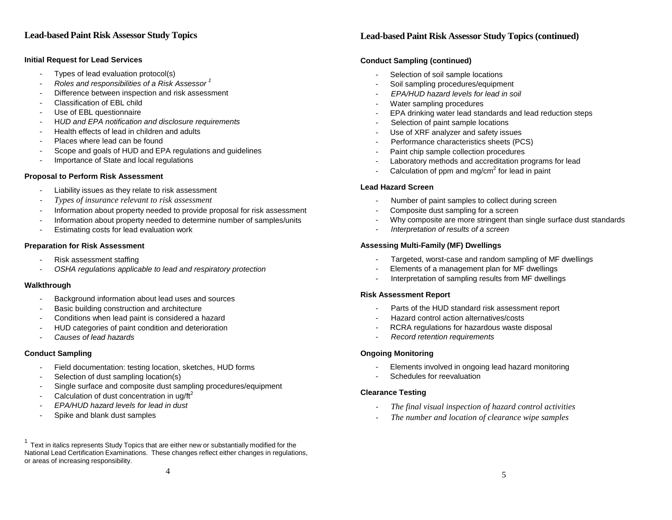### **Initial Request for Lead Services**

- Types of lead evaluation protocol(s)
- *Roles and responsibilities of a Risk Assessor <sup>1</sup>*
- Difference between inspection and risk assessment
- Classification of EBL child
- Use of EBL questionnaire
- H*UD and EPA notification and disclosure requirements*
- Health effects of lead in children and adults
- Places where lead can be found
- Scope and goals of HUD and EPA regulations and guidelines
- Importance of State and local regulations

#### **Proposal to Perform Risk Assessment**

- Liability issues as they relate to risk assessment
- *- Types of insurance relevant to risk assessment*
- Information about property needed to provide proposal for risk assessment
- Information about property needed to determine number of samples/units
- Estimating costs for lead evaluation work

#### **Preparation for Risk Assessment**

- Risk assessment staffing
- *OSHA regulations applicable to lead and respiratory protection*

#### **Walkthrough**

- Background information about lead uses and sources
- Basic building construction and architecture
- Conditions when lead paint is considered a hazard
- HUD categories of paint condition and deterioration
- *Causes of lead hazards*

#### **Conduct Sampling**

- Field documentation: testing location, sketches, HUD forms
- Selection of dust sampling location(s)
- Single surface and composite dust sampling procedures/equipment
- Calculation of dust concentration in ug/ft<sup>2</sup>
- *EPA/HUD hazard levels for lead in dust*
- Spike and blank dust samples

# **Lead-based Paint Risk Assessor Study Topics Lead-based Paint Risk Assessor Study Topics (continued)**

#### **Conduct Sampling (continued)**

- Selection of soil sample locations
- Soil sampling procedures/equipment
- *EPA/HUD hazard levels for lead in soil*
- Water sampling procedures
- EPA drinking water lead standards and lead reduction steps
- Selection of paint sample locations
- Use of XRF analyzer and safety issues
- Performance characteristics sheets (PCS)
- Paint chip sample collection procedures
- Laboratory methods and accreditation programs for lead
- Calculation of ppm and  $mg/cm<sup>2</sup>$  for lead in paint

# **Lead Hazard Screen**

- Number of paint samples to collect during screen
- Composite dust sampling for a screen
- Why composite are more stringent than single surface dust standards
- *Interpretation of results of a screen*

### **Assessing Multi-Family (MF) Dwellings**

- Targeted, worst-case and random sampling of MF dwellings
- Elements of a management plan for MF dwellings
- Interpretation of sampling results from MF dwellings

#### **Risk Assessment Report**

- Parts of the HUD standard risk assessment report
- Hazard control action alternatives/costs
- RCRA regulations for hazardous waste disposal
- *Record retention requirements*

#### **Ongoing Monitoring**

- Elements involved in ongoing lead hazard monitoring
- Schedules for reevaluation

#### **Clearance Testing**

- *- The final visual inspection of hazard control activities*
- *- The number and location of clearance wipe samples*

 $1$  Text in italics represents Study Topics that are either new or substantially modified for the National Lead Certification Examinations. These changes reflect either changes in regulations, or areas of increasing responsibility.